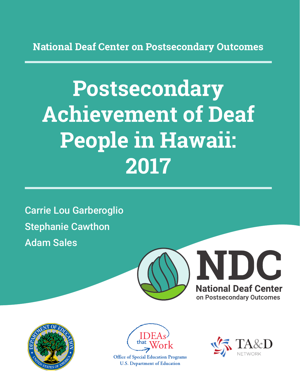**National Deaf Center on Postsecondary Outcomes**

# **Postsecondary Achievement of Deaf People in Hawaii: 2017**

Carrie Lou Garberoglio Stephanie Cawthon Adam Sales







**Office of Special Education Programs U.S. Department of Education** 

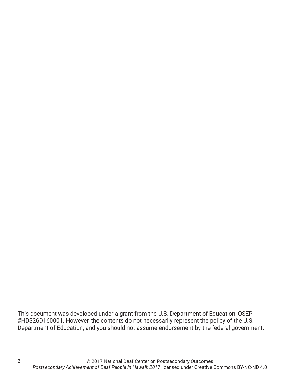This document was developed under a grant from the U.S. Department of Education, OSEP #HD326D160001. However, the contents do not necessarily represent the policy of the U.S. Department of Education, and you should not assume endorsement by the federal government.

2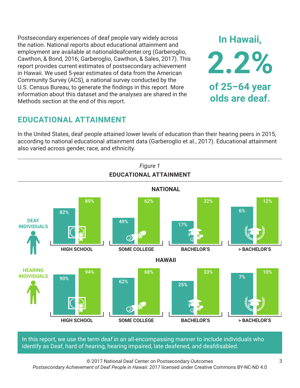Postsecondary experiences of deaf people vary widely across the nation. National reports about educational attainment and employment are available at nationaldeafcenter.org (Garberoglio, Cawthon, & Bond, 2016; Garberoglio, Cawthon, & Sales, 2017). This report provides current estimates of postsecondary achievement in Hawaii. We used 5-year estimates of data from the American Community Survey (ACS), a national survey conducted by the U.S. Census Bureau, to generate the findings in this report. More information about this dataset and the analyses are shared in the Methods section at the end of this report.

## **EDUCATIONAL ATTAINMENT**

In the United States, deaf people attained lower levels of education than their hearing peers in 2015, according to national educational attainment data (Garberoglio et al., 2017). Educational attainment also varied across gender, race, and ethnicity.



In this report, we use the term *deaf* in an all-encompassing manner to include individuals who identify as Deaf, hard of hearing, hearing impaired, late deafened, and deafdisabled.

© 2017 National Deaf Center on Postsecondary Outcomes *Postsecondary Achievement of Deaf People in Hawaii: 2017* licensed under Creative Commons BY-NC-ND 4.0

**In Hawaii,**

**2.2%**

**of 25–64 year**

**olds are deaf.**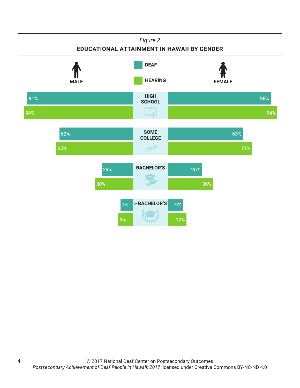

4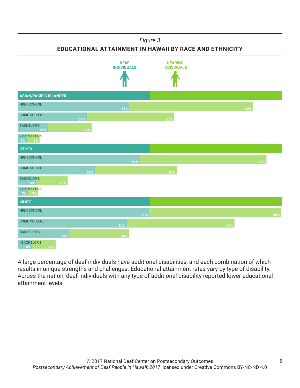#### *Figure 3*

**EDUCATIONAL ATTAINMENT IN HAWAII BY RACE AND ETHNICITY**



A large percentage of deaf individuals have additional disabilities, and each combination of which results in unique strengths and challenges. Educational attainment rates vary by type of disability. Across the nation, deaf individuals with any type of additional disability reported lower educational attainment levels.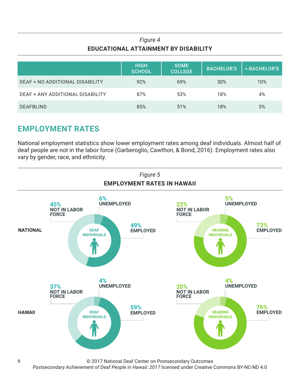#### *Figure 4* **EDUCATIONAL ATTAINMENT BY DISABILITY**

|                                  | <b>HIGH</b><br><b>SCHOOL</b> | <b>SOME</b><br><b>COLLEGE</b> | <b>BACHELOR'S</b> | > BACHELOR'S |
|----------------------------------|------------------------------|-------------------------------|-------------------|--------------|
| DEAF + NO ADDITIONAL DISABILITY  | 92%                          | 69%                           | 30%               | 10%          |
| DEAF + ANY ADDITIONAL DISABILITY | 87%                          | 53%                           | 18%               | 4%           |
| <b>DEAFBLIND</b>                 | 85%                          | 51%                           | 18%               | 3%           |

## **EMPLOYMENT RATES**

National employment statistics show lower employment rates among deaf individuals. Almost half of deaf people are not in the labor force (Garberoglio, Cawthon, & Bond, 2016). Employment rates also vary by gender, race, and ethnicity.



© 2017 National Deaf Center on Postsecondary Outcomes

*Postsecondary Achievement of Deaf People in Hawaii: 2017* licensed under Creative Commons BY-NC-ND 4.0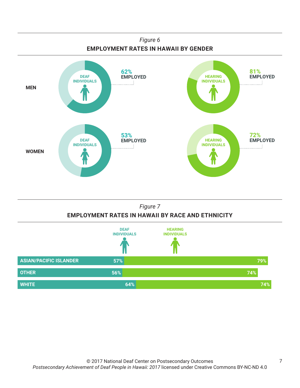

#### *Figure 7* **EMPLOYMENT RATES IN HAWAII BY RACE AND ETHNICITY**

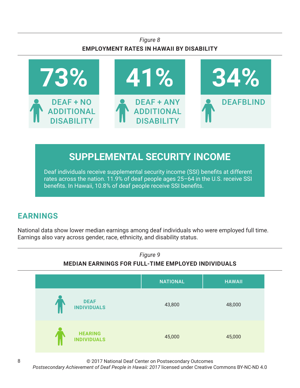#### *Figure 8* **EMPLOYMENT RATES IN HAWAII BY DISABILITY**



# **SUPPLEMENTAL SECURITY INCOME**

Deaf individuals receive supplemental security income (SSI) benefits at different rates across the nation. 11.9% of deaf people ages 25–64 in the U.S. receive SSI benefits. In Hawaii, 10.8% of deaf people receive SSI benefits.

# **EARNINGS**

National data show lower median earnings among deaf individuals who were employed full time. Earnings also vary across gender, race, ethnicity, and disability status.



© 2017 National Deaf Center on Postsecondary Outcomes

*Postsecondary Achievement of Deaf People in Hawaii: 2017* licensed under Creative Commons BY-NC-ND 4.0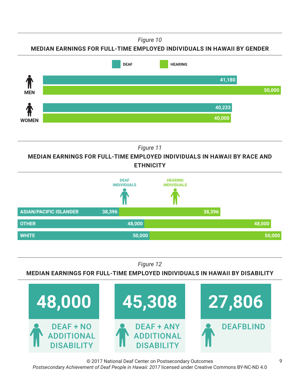*Figure 10*





*Figure 11*

**MEDIAN EARNINGS FOR FULL-TIME EMPLOYED INDIVIDUALS IN HAWAII BY RACE AND ETHNICITY**



*Figure 12*

**MEDIAN EARNINGS FOR FULL-TIME EMPLOYED INDIVIDUALS IN HAWAII BY DISABILITY**



© 2017 National Deaf Center on Postsecondary Outcomes *Postsecondary Achievement of Deaf People in Hawaii: 2017* licensed under Creative Commons BY-NC-ND 4.0